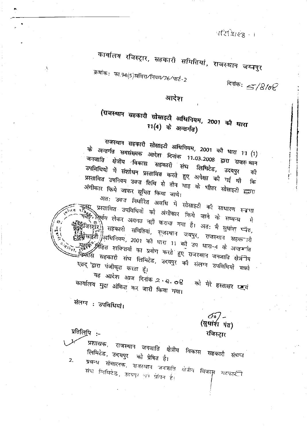परिभिष्ट - ।

कार्यालय रजिस्ट्रार, सहकारी समितियां, राजस्थान जय्मपुर

ऊर्माक: फा.94(5)सविरा∕नियम⁄76⁄पार्ट-2

दिनांक:  $5/8$ /ol

#### आदेश

## (राजस्थान सहकारी सोसाइटी अधिनियम, 2001 को धारा 11(4) के अन्तर्गत)

राजस्थान सहकारी सोसाइटी अधिनियम, 2001 को धारा 11 (1) के अन्तर्गत समसंख्यक आदेश दिनांक 11.03.2008 द्वारा राजर थान जनजाति क्षेत्रीय विकास सहकारी संघ लिमिटेड, उदयपुर उपनिधियों में संशोधन प्रस्तावित करते हुए अपेक्षा की गई थी की प्रस्तावित उपनियम उक्त तिथि से तीन माह के भीतर सोसाइटी <u>ह्या</u>रा कि अंगीकार किये जाकर सूचित किया जावे।

अत: उक्त निर्धारित अवधि में सोसाइटी की साधारण स्न्नभा . प्रस्तावित उपविधियों को अंगीकार किये जाने के सम्बन्ध में लिएवि लेकर अवगत नहीं कराया गया है। अत: मै सुधांश प्यत, ।<br>रिझूँरे)| सहकारी समितियां, राजस्थान जयपुर, राजस्थान सहक ारी नाईहै /अधिनियम, 2001 की धारा 11 को उप धारा-4 के अन्तर्गात ू<br>अहित शक्तियों का प्रयोग करते हुए राजस्थान जनजाति क्षेत्रीय ्षि<br>-विकासि सहकारी संघ लिमिटेड, उदयपुर को संलग्न उपविधियों <del>द</del>्यो एतद् 'द्वारा पंजीकृत करता हूँ। यह आदेश आज दिनांक २ ९.०१

कार्यालय मुद्रा अंकित कर जारी किया गया। को मेरे हस्ताक्षर छन्द

संलग्न : उपविधियो।

δō. (सुधांरी पंत) रजिस्ट्रार

प्रतिलिपि :-

 $\chi$ 

प्रशासक, राजस्थान जनजाति क्षेत्रीय विकास सहकारी संघ्च्य लिमिटेड, उदयपुर को प्रेषित है।  $\overline{z}$ .

प्रबन्ध संचालक, राजस्थान जनगाति क्षेत्रीय विकास महकार्टी संघ लिमिटेड, उदयपर भा प्रेमित है।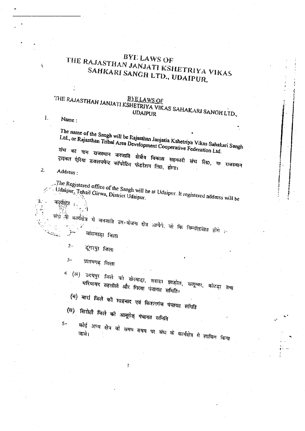## BYE LAWS OF THE RAJASTHAN JANJATI KSHETRIYA VIKAS SAHKARI SANGH LTD., UDAIPUR.

# THE RAJASTHAN JANJATI KSHETRIYA VIKAS SAHAKARI SANGH LTD.,

Name:

Ï.

The name of the Sangh will be Rajasuhan Janjatia Kshetriya Vikas Sahakari Sangh Ltd., or Rajasthan Tribal Area Development Cooperative Federation Ltd.

संघ का नाम राजस्थान जनजाति क्षेत्रीय विकास सहकारी संघ हिा0, या राजस्थान ट्राइबल ऐरिया डवलपमेन्ट कॉपरेटिल फेडरेशन लि0, होगा। Address:

 $\mathbf{2}$ 

कार्यक्षत्र

The Registered office of the Sangh will be at Udaipur. It registered address will be Udaipur, Tehsil Girwa, District Udaipur.

साथ की

कार्यक्षेत्र में जनजाति उप-योजना क्षेत्र आयेंगे. जो कि निम्नलिखित होंगे :-बासवाड़ा जिला

- 
- $2 -$ डूगरपुर जिला
- $3-$ प्रतापगढ़ जिला

<sup>4</sup> (अ) उदयपुर जिले का खेरवाड़ा, ससड़ा झाड़ोल, सलूम्बर, कोटड़ा तथा धरियावर तहसीले और गिरवा पंचायत समिति।

(ब) बारां जिले को शाहबाद एवं किशनगंज पंचायत समिति

- (स) सिरोही जिले को आबूरोड पंचायत समिति
- $5-$

कोई अन्य क्षेत्र जो समय समय पर संघ के कार्यक्षेत्र में शामिल किया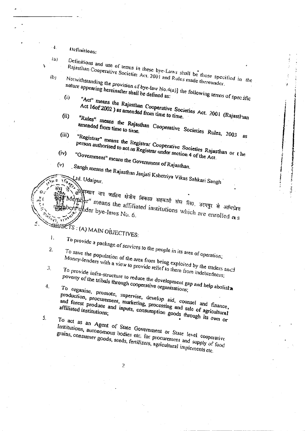Definitions:

 $\{a\}$ 

4.

 $(b)$ 

A,

Definitions and use of terms in these bye-Laws shall be those specified in the Rajasthan Cooperative Societies Act. 2001 and Rules made thereunder. Notwithstanding the provision of bye-law No.4(a)] the following terms of specific

- nature appearing hereinafter shall be defined as: "Act" means the Rajasthan Cooperative Societies Act. 2001 (Rajasthan  $(i)$
- Act 16of 2002) as amended from time to time.  $(ii)$
- "Rules" means the Rajasthan Cooperative Societies Rules, 2003 amended from time to time.  $(iii)$ as
- "Registrar" means the Registrar Cooperative Societies Rajasthan or the person authorised to act as Registrar under section 4 of the Act.
- $(iv)$ "Government" means the Government of Rajasthan.
- $(v)$ . Sangh means the Rajasthan Janjati Kshetriya Vikas Sahkari Sangh

भूस्थान जन जातिय क्षेत्रीय विकास सहकारी संघ ति0, उदयपुर से आधिप्रेयत lember" means the affiliated institutions which are enrolled  $\alpha$ s

- SELECTS: (A) MAIN OBJECTIVES:
- Ι.

4.

- To provide a package of services to the people in its area of operation;  $\mathbf{2}$
- To save the population of the area from being exploited by the traders and Money-lenders with a view to provide relief to them from indebtedness;  $\mathfrak{Z}$ .
	- To provide infra-structure to reduce the development gap and help abolist poverty of the tribals through cooperative organisations;
		- To organise, promote, supervise, develop aid, counsel and finance, production, procurement, marketing, processing and sale of agricultural and forest produce and inputs, consumption goods through its own or affiliated institutions;
- 5. To act as an Agent of State Government or State level cooperative
	- Institutions, autonomous bodies etc. for procurement and supply of food grains, consumer goods, seeds, fertilizers, agricultural implements etc.

 $\overline{2}$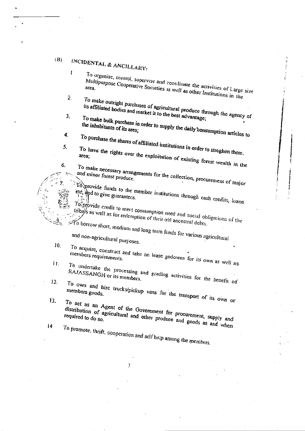#### $(B)$ INCIDENTAL & ANCILLARY:

 $\mathbf{I}$ 

 $\mathbf{2}$ 

4.

To organise, control, supervise and coordinate the activities of Large size Multipurpose Cooperative Societies as well as other Institutions in the To make outright purchases of agricultural produce through the agency of

its affiliated bodies and market it to the best advantage; 3.

To make bulk purchase in order to supply the daily consumption articles to

- To purchase the shares of affiliated institutions in order to streghen them. To have the rights over the exploitation of existing forest wealth in the 5.
- $6<sub>1</sub>$ To make necessary arrangements for the collection, procurement of major

and minor forest produce.

To provide funds to the member institutions through eash credits, loans etc, and to give guarantees.

To provide credit to meet consumption need and social obligations of the tribals as well as for redemption of their old ancestral debts.  $\widetilde{\mathcal{H}}$  borrow short, medium and long term funds for various agricultural

and non-agricultural purposes.

- 10. To acquire, construct and take on lease godowns for its own as well as members requirements.
- To undertake the processing and grading activities for the benefit of 11. RAJASSANGH or its members.
- $12.$ To own and hire trucks/pickup vans for the transport of its own or members goods.

To act as an Agent of the Government for procurement, supply and  $13.$ 

distribution of agricultural and other produce and goods as and when required to do so. To promote, thrift, cooperation and self help among the members.

 $14<sub>1</sub>$ 

 $\mathbf{R}$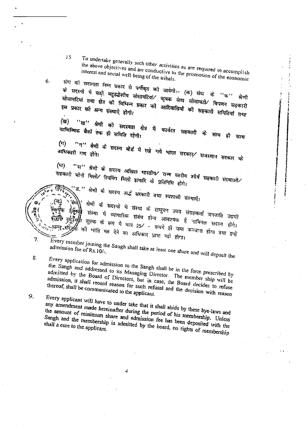$15<sub>1</sub>$ 

To undertake generally such other activities as are required to accomplish the above objectives and are conductive to the promotion of the economic

6.

7.

8.

 $9.$ 

संघ को सदस्यता निम्न प्रकार से वर्गीकृत को जायेगी:- (क) संघ के ''क'' के सदस्यों में बड़ी बहुउद्धैशीय सोसायटियां⁄ कृषक सेवा सोसायटी⁄ विपणन सहकारी सोसायटियां तथा क्षेत्र को विभिन्न प्रकार को आदिवासियों को सहकारी समितियां तथा

''ख'' श्रेणी की सदस्यता क्षेत्र में कार्यरत सहकारी (ত্ৰ) वाणिज्यिक बैंकों तक ही समिति रहेगी। को साथ ही साथ

''ग'' श्रेणी के सदस्य बोर्ड में रखे गये भारत सरकार⁄ राजस्थान सरकार को  $(\pi)$ अधिकारी गण होंगे।

"घ" श्रेणी के सदस्य अखिल भारतीय⁄ राज्य स्तरीय शीर्ष सहकारी संस्थाओं (ঘ) सहकारी चोनी मिलों/ स्पिनिंग मिलों इत्यादि के प्रतिनिधि होगे।

('ड.'' श्रेणी के सदस्य अर्द्ध सरकारी तथा स्वशासी संस्थाऐं।

श्रेणौ के सदस्यों में संस्था के लघुवन उपज संग्रहकर्ता जनजाति उद्यमी संस्था में व्यापारिक संबंध होना आवश्यक है नामिनल सदस्य होगे।

शुल्क के रूप में मात्र 25% - रूपये ही जमा करवाना होगा तथा इन्हें की भांति मत देने का अधिकार प्राप्त नही होगा। Every member joining the Sangh shall take at least one share and will deposit the

admission fee of Rs.10/-.

Every application for admission to the Sangh shall be in the form prescribed by the Sangh and addressed to its Managing Director. The member ship will be admitted by the Board of Directors, but in case, the Board decides to refuse admission, it shall record reason for such refusal and the decision with reason

Every applicant will have to under take that it shall abide by these bye-laws and any amendment made hereinafter during the period of his membership. Unless the amount of minimum share and admission fee has been deposited with the Sangh and the membership is admitted by the board, no rights of membership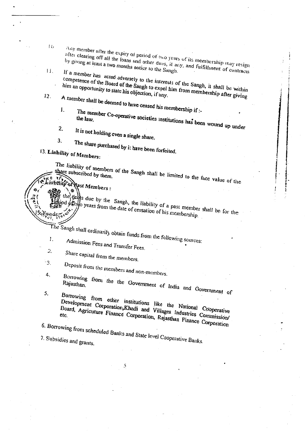they member after the expiry of period of two years of its membership may resign tafter clearing off all the loans and other dues, it any, and fulfillment of contracts by giving at least a two months notice to the Sangh.

If a member has acted adversely to the interests of the Sangh, it shall be within competence of the Board of the Sangh to expel him from membership after giving him an opportunity to state his objection, if any.

A member shall be deemed to have ceased his membership if :-İ.

The member Co-operative societies institutions has been wound up under the law.

 $\overline{2}$ . It is not holding even a single share.

 $\mathbf{3}$ .

The share purchased by it have been forfeited.

<sup>13</sup>. Liability of Members:

 $16$ 

 $H_{\star}$ 

 $12.$ 

ى<br>ئىستى*د* 

The liability of members of the Sangh shall be limited to the face value of the

Einbility of Rast Members:

the deeps due by the Sangh, the fiability of a past member shall be for the od of tylo years from the date of cessation of his membership.

The Sangh shall ordinarily obtain funds from the following sources: 1.

Admission Fees and Transfer Fees. 2.

Share capital from the members.  $\cdot$  3.

Deposit from the members and non-members.

 $\ddot{ }$ Borrowing from the the Government of India and Government of

Borrowing from other institutions like the National Cooperative 5. Development Corporation, Khadi and Villages Industries Commission/ Board, Agricuture Finance Corporation, Rajasthan Finance Corporation

6. Borrowing from scheduled Banks and State level Cooperative Banks. 7. Subsidies and grants.

 $\varsigma$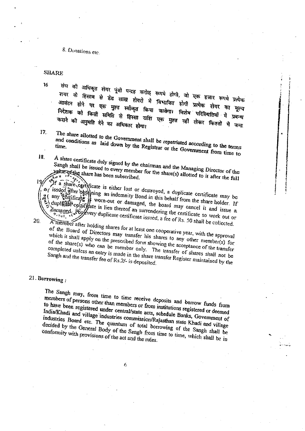8. Donations etc.

#### **SHARE**

 $16$ 

संघ की अधिकृत शेयर पूंजी पन्द्रह करोड़ रूपये होगी, जो एक हजार रूपये प्रत्येक शयर के हिसाब से डेढ लाख शेयरों में विभाजित होगी प्रत्येक शेयर का मूल्य आवंटन होने पर एक मुश्त स्वीकृत किया जावेगा। विशेष परिस्थितियों में प्रबन्ध निदेशक को किसी समिति से हिस्सा राशि एक मुश्त नहीं लेकर किश्तों में जमा कराने की अनुमति देने का अधिकार होगा।

17.

18.

The share allotted to the Government shall be repatriated according to the terms

and conditions as laid down by the Registrar or the Government from time to

A share certificate duly signed by the chairman and the Managing Director of the Sangh shall be issued to every member for the share(s) allotted to it after the full

If a share certificate is either lost or destroyed, a duplicate certificate may be se issued after obtaining an indemnity Bond in this behalf from the share holder. If a (any certain of the worn-out or damaged, the board may cancel it and issue a duplicate oggity ate in lieu thereof an surrendering the certificate so work out or damaged. For every duplicate certificate issued, a fee of Rs. 50 shall be collected.

20.

A niember after holding shares for at least one cooperative year, with the approval of the Board of Directors may transfer his shares to any other member(s) for which it shall apply on the prescribed form showing the acceptance of the transfer of the share(s) who can be member only. The transfer of shares shall not be completed unless an entry is made in the share transfer Register maintained by the Sangh and the transfer fee of Rs.2/- is deposited.

#### 21. Borrowing:

The Sangh may, from time to time receive deposits and borrow funds from members of persons other than members or from institutions registered or deemed to have been registered under central/state acts, schedule Banks, Government of India/Khadi and village industries commission/Rajasthan state Khadi and village industries Board etc. The quantum of total borrowing of the Sangh shall be decided by the General Body of the Sangh from time to time, which shall be in conformity with provisions of the act and the rules.

6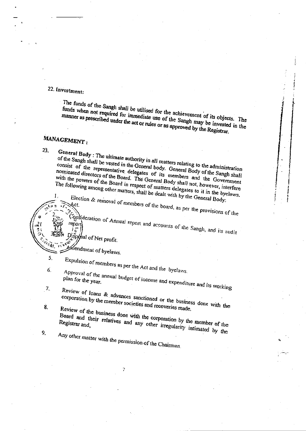## 22. Investment:

The funds of the Sangh shall be utilised for the achievement of its objects. The funds when not required for immediate use of the Sangh may be invested in the manner as prescribed under the act or rules or as approved by the Registrar.

## MANAGEMENT:

23.

report

5.

8.

9.

General Body: The ultimate authority in all matters relating to the administration of the Sangh shall be vested in the General body. General Body of the Sangh shall consist of the representative delegates of its members and the Government nominated directors of the Board. The General Body shall not, however, interfere with the powers of the Board in respect of matters delegates to it in the byelaws. The following among other matters, shall be dealt with by the General Body:

Election & removal of members of the board, as per the provisions of the

Consideration of Annual report and accounts of the Sangh, and its audit

Disposal of Net profit.

Amendment of byelaws.

Expulsion of members as per the Act and the byelaws.

 $6.$ Approval of the annual budget of income and expenditure and its working

 $\mathcal{T}_\mathbf{L}$ Review of loans & advances sanctioned or the business done with the

corporation by the member societies and recoveries made.

Review of the business done with the corporation by the member of the Board and their relatives and any other irregularity intimated by the

Any other matter with the permission of the Chairman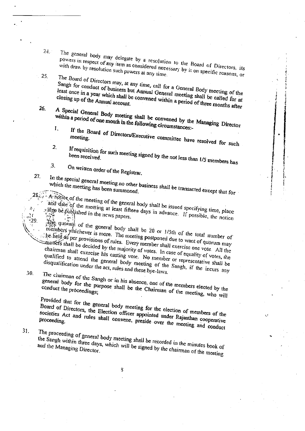$24.$ 

 $25.$ 

26.

 $27.$ 

 $-29.$ 

30.

The general body may delegate by a resolution to the Board of Directors, its powers in respect of any item as considered necessary by it on specific reasons, or

The Board of Directors may, at any time, call for a General Body meeting of the Sangh for conduct of business but Annual General meeting shall be called for at least once in a year which shall be convened within a period of three months after closing up of the Annual account.

A Special General Body meeting shall be convened by the Managing Director within a period of one month in the following circumstances:-

If the Board of Directors/Executive committee have resolved for such

- $2.$ If requisition for such meeting signed by the not less than 1/5 members has been received.
- 3. On written order of the Registrar.
- 

In the special general meeting no other business shall be transacted except that for

A notice of the meeting of the general body shall be issued specifying time, place and date of the meeting at least fifteen days in advance. If possible, the notice also be published in the news papers.

 $\frac{1}{20}$  quorum of the general body shall be 20 or  $1/5$ th of the total number of members whichever is more. The meeting postponed due to want of quorum may be held as per provisions of rules. Every member shall exercise one vote. All the matters shall be decided by the majority of votes. In case of equality of votes, the chairman shall exercise his casting vote. No member or representative shall be qualified to attend the general body meeting of the Sangh, if the incurs any disqualification under the act, rules and these bye-laws.

The chairman of the Sangh or in his absence, one of the members elected by the general body for the purpose shall be the Chairman of the meeting, who will

Provided that for the general body meeting for the election of members of the Board of Directors, the Election officer appointed under Rajasthan cooperative societies Act and rules shall convene, preside over the meeting and conduct

31.

The proceeding of general body meeting shall be recorded in the minutes book of the Sangh within three days, which will be signed by the chairman of the meeting

R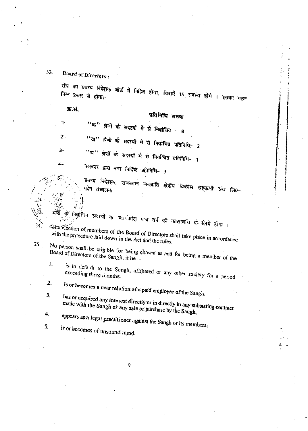Board of Directors:

संघ का प्रबन्ध निदेशक बोर्ड में निहित होगा, जिसमें 15 सदस्य होंगे । इसका गठन निम्न प्रकार से होगा:-

ऊ.सं.

#### प्रतिनिधि संख्या

"क" श्रेणी के सदस्यों में से निर्वाचित - 8

"ख" श्रेणी के सदस्यों में से निर्वाचित प्रतिनिधि- 2

 $3-$ 

้า-

 $2 -$ 

"घ" श्रेणी के सदस्यों में से निर्वाचित प्रतिनिधि- 1

 $4-$ 

34.

35.

32.

सरकार द्वारा नाम निर्दिष्ट प्रतिनिधि- 3

प्रबन्ध निदेशक, राजस्थान जनजाति क्षेत्रीय विकास सहकारी संघ लि0–

निर्वाचित सदस्यों का कार्यकाल पांच वर्ष को कालावधि के लिये होगा । The election of members of the Board of Directors shall take place in accordance

with the procedure faid down in the Act and the rules.

No person shall be eligible for being chosen as and for being a member of the

1. is in default to the Sangh, affiliated or any other society for a period

 $\overline{2}$ . is or becomes a near relation of a paid employee of the Sangh.

 $3<sub>l</sub>$ has or acquired any interest directly or in directly in any subsisting contract made with the Sangh or any sale or purchase by the Sangh,

4. appears as a legal practitioner against the Sangh or its members,

5.

is or becomes of unsound mind,

 $\boldsymbol{c}$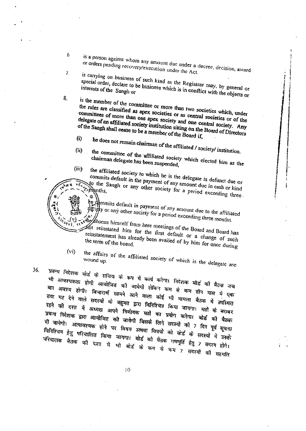is a person against whom any amount due under a decree, decision, award or orders pending recovery/execution under the Act.

is carrying on business of such kind as the Registrar may, by general or special order, declare to be business which is in conflict with the objects or interests of the Sangh or

6

 $\overline{L}$ 

8.

is the member of the committee or more than two societies which, under the rules are classified as apex societies or as central societies or of the committees of more than one apex society and one central society. Any delegate of an affiliated society institution sitting on the Board of Directors of the Sangh shall cease to be a member of the Board if,

he does not remain chairman of the affiliated / society/ institution.  $(i)$ 

the committee of the affiliated society which elected him as the  $(ii)$ 

chairman delegate has been suspended,  $(iii)$ 

the affiliated society to which he is the delegate is defunct due or commits default in the payment of any amount due in cash or kind to the Sangh or any other society for a period exceeding three. \*manths,

he commits default in payment of any amount due to the affiliated so help or any other society for a period exceeding three months.

whe absens himself from here meetings of the Board and Board has not reinstated him for the first default or a change of such reinstatement has already been availed of by him for once during the term of the board.

the affairs of the affiliated society of which is the delegate are  $(v<sub>i</sub>)$ 

36.

प्रबन्ध निर्देशक योर्ड के सचिव के रूप में कार्य करेगा। निर्देशक बोर्ड की बैठक जब भी आवश्यकता होगी आयोजित को जायेगी लेकिन कम से कम तीन मास में एक बार अवश्य होगी। विचारार्थ सामने आने वाला कोई भी मामला बैठक में उपस्थित तथा मत देने वाले सदस्यों के बहुमत द्वारा विनिश्चित किया जायगा। मतों के बराबर रहने की दशा में अध्यक्ष अपने निर्णायक मतों का प्रयोग करेगा। बोर्ड की बैठक प्रबन्ध निदेशक द्वारा आयोजित की जायेगी जिसके लिये सदस्यों को 7 दिन पूर्व सूचना दी जायेगी। अत्यावश्यक होने पर विषय अथवा विषयों को बोर्ड के सदस्यों में उनके विनिश्चिय हेतु परिचालित किया जायगा। बोर्ड को वैटक गणपूर्ति हेतु 7 सदस्य होगे। परिचालक बैठक की दशा में भी बोर्ड के कम से कम 7 सदस्यों की सहमति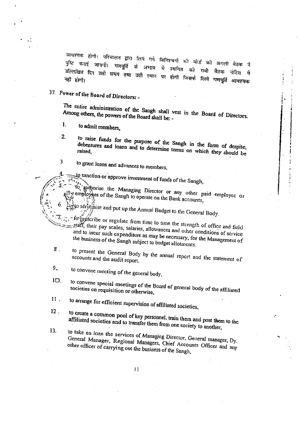आवश्यक होगी। परिचालन द्वारा लिये गये विनिश्चयों की बोर्ड की अगली बैठेक मे पुष्टि कराई जायगौ। गणपूर्ति के अभाव ਸੌ स्थगित को उल्लिखित दिन उसी समय तथा उसी स्थान पर होगी जिसके लिये गणपूर्ति आवश्यक नोटिस मे

37. Power of the Board of Directors: -

The entire administration of the Sangh shall vest in the Board of Directors. Among others, the powers of the Board shall be: -

- $\mathbf{I}$ . to admit members.
- $\overline{2}$ to raise funds for the purpose of the Sangh in the form of despite, debentures and loans and to determine terms on which they should be raised.

3. to grant loans and advances to members,

to sanction or approve investment of funds of the Sangh,

to authorise the Managing Director or any other paid employee or gemployees of the Sangh to operate on the Bank accounts,

to serutinise and put up the Annual Budget to the General Body.

- fo prescribe or regulate from time to time the strength of office and field staff, their pay scales, salaries, allowances and other conditions of service. and to incur such expenditure as may be necessary, for the Management of the business of the Sangh subject to budget allotments.
- $8<sub>1</sub>$ to present the General Body by the annual report and the statement of accounts and the audit report.
- $9$ to convene meeting of the general body,
- $10.$ to convene special meetings of the Board of general body of the affiliated societies on requisition or otherwise,
- 11. to arrange for efficient supervision of affiliated societies,
- $12$ to create a common pool of key personnel, train them and post them to the affiliated societies and to transfer them from one society to another,
- 13. to take on loan the services of Managing Director, General manager, Dy. General Manager, Regional Managers, Chief Accounts Officer and any other officer of carrying out the business of the Sangh,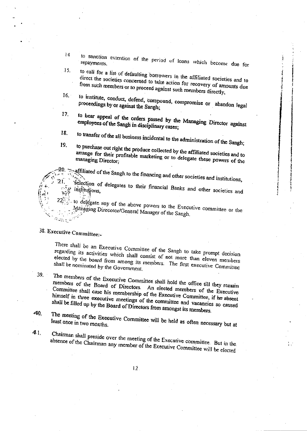14 to sanction extention of the period of loans which become due for  $15.$ 

to call for a list of defaulting borrowers in the affiliated societies and to direct the societies concerned to take action for recovery of amounts due from such members or to proceed against such members directly,

- $16.$ to institute, conduct, defend, compound, compromise or abandon legal proceedings by or against the Sangh;
- 17. to hear appeal of the orders passed by the Managing Director against employees of the Sangh in disciplinary cases;
- 18. to transfer of the all business incidental to the administration of the Sangh;
- 19. to purchase out right the produce collected by the affiliated societies and to arrange for their profitable marketing or to delegate these powers of the managing Director;

affiliated of the Sangh to the financing and other societies and institutions,

Selection of delegates to their financial Banks and other societies and institutions,

to delegate any of the above powers to the Executive committee or the Managing Direcotor/General Manager of the Sangh.

## 38. Executive Committee:-

There shall be an Executive Committee of the Sangh to take prompt decision regarding its activities which shall consist of not more than eleven members elected by the board from among its members. The first executive Committee shall be nominated by the Government.

The members of the Executive Committee shall hold the office till they remain members of the Board of Directors. An elected members of the Executive Committee shall case his membership of the Executive Committee, if he absent himself in three executive meetings of the committee and vacancies so caused shall be filled up by the Board of Directors from amongst its members.

The meeting of the Executive Committee will be held as often necessary but at 40.

41.

39.

Chairman shall preside over the meeting of the Executive committee. But in the absence of the Chairman any member of the Executive Committee will be elected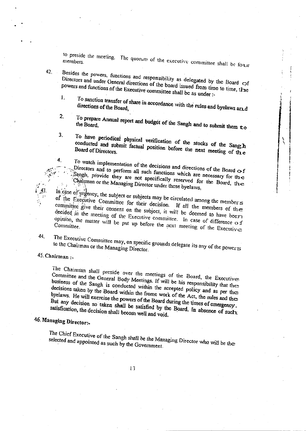to preside the meeting. The quorum of the executive committee shall be four

Besides the powers, functions and responsibility as delegated by the Board of Directors and under General directions of the board issued from time to time, the powers and functions of the Executive committee shall be as under :-

To sanction transfer of share in accordance with the rules and byelaws art d  $\mathbf{1}$ directions of the Board,

To prepare Annual report and budget of the Sangh and to submit them to

- To have periodical physical verification of the stocks of the Sang h 3. conducted and submit factual position before the next meeting of the
	- To watch implementation of the decisions and directions of the Board  $\sigma f$ Directors and to perform all such functions which are necessary for the Sangh, provide they are not specifically reserved for the Board, the Chairman or the Managing Director under these byelaws.

In case of urgency, the subject or subjects may be circulated among the member  $\leq$ of the Executive Committee for their decision. If all the members of the committee give their consent on the subject, it will be deemed to have beer decided in the meeting of the Executive committee. In case of difference of opinion, the matter will be put up before the next meeting of the Executive

44.

 $\sqrt{3}$ 

 $42.$ 

 $2.$ 

4.

The Executive Committee may, on specific grounds delegate its any of the powers to the Chairman or the Managing Director.

45. Chairman:

The Chairman shall preside over the meetings of the Board, the Executive Committee and the General Body Meetings. If will be his responsibility that the business of the Sangh is conducted within the accepted policy and as per the decisions taken by the Board within the frome work of the Act, the rules and the byelaws. He will exercise the powers of the Board during the times of emergency. But any decision so taken shall be satisfied by the Board. In absence of such satisfication, the decision shall becom well and void.

## 46. Managing Director:-

The Chief Executive of the Sangh shall be the Managing Director who will be the selected and appointed as such by the Goveinment.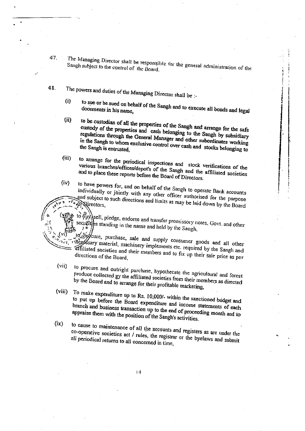47.

The Managing Director shall be responsible for the general administration of the Sangh subject to the control of the Board.

- 48. The powers and duties of the Managing Director shall be :
	- to sue or be sued on behalf of the Sangh and to execute all bonds and legal  $(i)$
	- to be custodian of all the properties of the Sangh and arrange for the safe  $(ii)$ custody of the properties and cash belonging to the Sangh by subsidiary regulations through the General Manager and other subordinates working in the Sangh to whom exclusive control over cash and stocks belonging to
	- $(iii)$ to arrange for the periodical inspections and stock verifications of the various branches/offices/depot's of the Sangh and the affiliated societies and to place these reports before the Board of Directors.
	- $(iv)$ to have powers for, and on behalf of the Sangh to operate Bank accounts individually or jointly with any other officer authorised for the purpose

and subject to such directions and limits as may be laid down by the Board OF Quectors,

- to purchasell, pledge, endorse and transfer promissory notes. Govt. and other securities standing in the name and held by the Sangh,
- to Spycure, purchase, sale and supply consumer goods and all other The essary material, machinery implements etc. required by the Sangh and affiliated societies and their members and to fix up their sale price as per
- $(vii)$ to procure and outright purchase, hypothecate the agricultural and forest produce collected gy the affiliated societies from their members as directed by the Board and to arrange for their profitable marketing,
- $(viii)$ To make expenditure up to Rs. 10,000/- within the sanctioned budget and to put up before the Board expenditure and income statements of each branch and business transaction up to the end of proceeding month and to appraise them with the position of the Sangh's activities.
- $(ix)$ to cause to maintenance of all the accounts and registers as are under the co-operative societies act / rules, the registrar or the byelaws and submit all periodical returns to all concerned in time,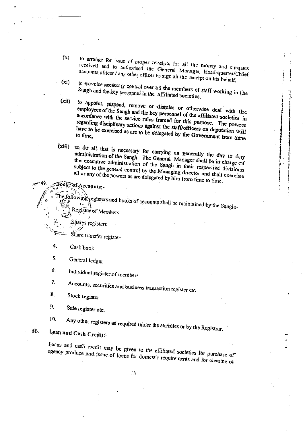- $(x)$ to arrange for issue of proper receipts for all the money and cheques received and to authorised the General Manager Head-quarter/Chief accounts officer / any other officer to sign all the receipt on his behalf,
- to exercise necessary control over all the members of staff working in the  $(x_i)$ Sangh and the key personnel in the affiliated societies,

to appoint, suspend, remove or dismiss or otherwise deal with the  $(xii)$ employees of the Sangh and the key personnel of the affiliated societies in accordance with the service rules framed for this purpose. The powers regarding disciplinary actions against the staff/officers on deputation will have to be exercised as are to be delegated by the Government from time to time.

to do all that is necessary for carrying on generally the day to day  $(xiii)$ administration of the Sangh. The General Manager shall be in charge of the executive administration of the Sangh in their respective divisions subject to the general control by the Managing director and shall exercise all or any of the powers as are delegated by him from time to time.

The following registers and books of accounts shall be maintained by the Sangh:-Register of Members

Shares registers

Books of Accounts:-

Share transfer register

- 4. Cash book
- 5. General ledger

6. Individual register of members

Accounts, securities and business transaction register etc.

 $8<sub>1</sub>$ Stock register

7.

10.

9. Sale register etc.

Any other registers as required under the atc/rules or by the Registrar.

Loan and Cash Credits-50.

> Loans and cash credit may be given to the affiliated societies for purchase of agency produce and issue of loans for domestic requirements and for clearing of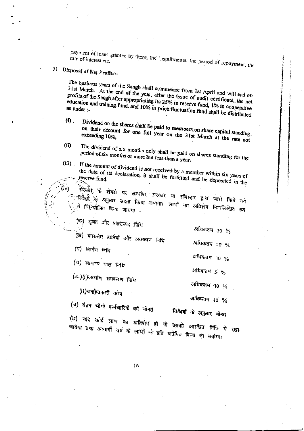payment of loans granted by them, the installments, the period of repayment, the

51 Disposal of Net Profits:-

The business years of the Sangh shall commence from 1st April and will end on 31st March. At the end of the year, after the issue of audit certificate, the net profits of the Sangh after appropriating its 25% in reserve fund, 1% in cooperative education and training fund, and 10% in price fluctuation fund shall be distributed

- Dividend on the shares shall be paid to members on share capital standing  $\omega$ . on their account for one full year on the 31st March at the rate not
- The dividend of six months only shall be paid on shares standing for the  $(ii)$ period of six months or more but less than a year.
- If the amount of dividend is not received by a member within six years of  $(iii)$

the date of its declaration, it shall be forfeited and be deposited in the

सिरकोरे के शेयरों पर लाभांश, सरकार या रजिस्ट्रार द्वारा जारी किये गये ं निर्देशों के अनुसार सदत्त किया जायगा। लाभो का अतिशेष निम्नलिखित रूप

(क) डूबत और शंकास्पद निधि

अधिकतम 30 % (ख) काराबेार हानियाँ और अक्स्पण निधि अधिकतम 20 % (ग) निर्माण निधि अधिकतम 10 % (घ) सामान्य माल निधि अधिकतम 5 % (ड.)(i)लाभांश समकरण निधि अधिकतम् १० %

(ii)जनहितकारी कोष

अधिकतम 10 %

(च) वेतन भोगी कर्मचारियों को बोनस विधियों के अनुसार बोनस

(छ) यदि कोई लाभ का अतिशेष हो तो उसको आरक्षित निधि में रखा जायेगा तथा आगामी वर्ष के लाभा के प्रति अग्रेधित किया जा सकेगा।

 $16$